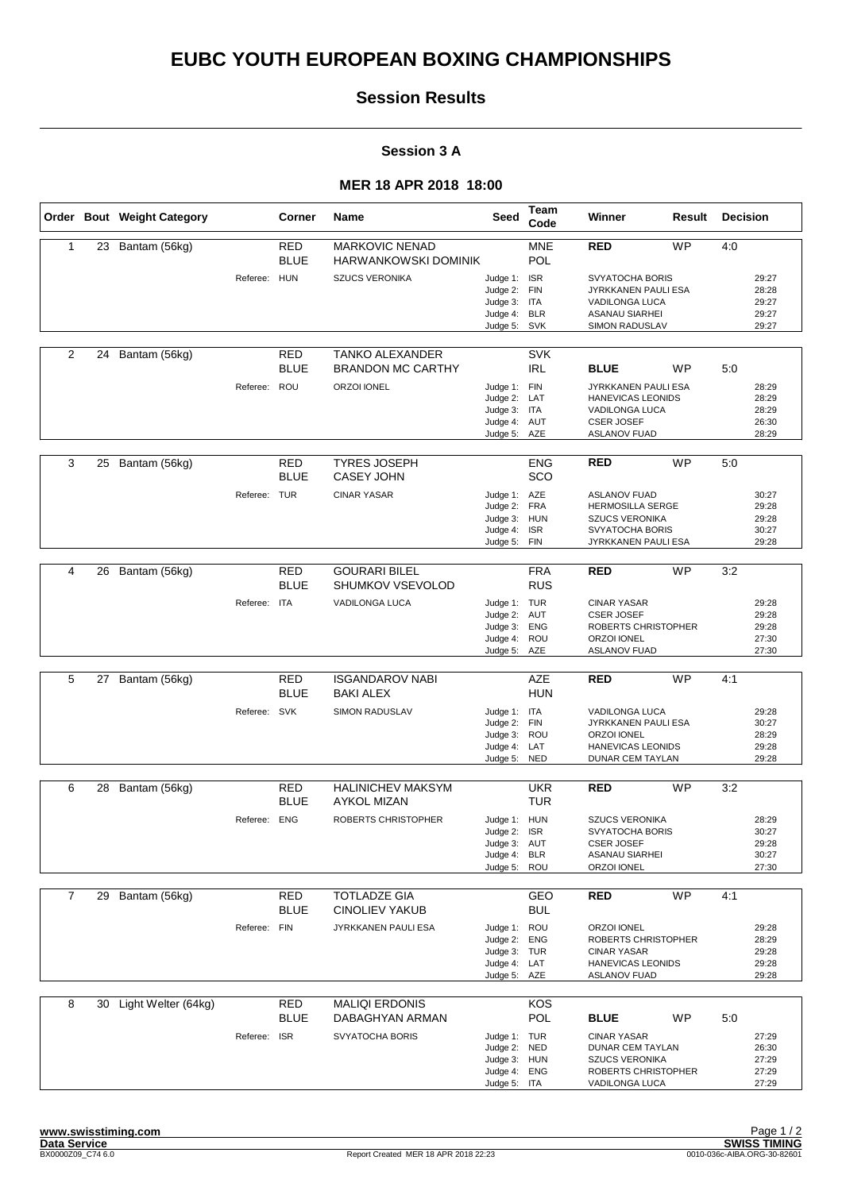# **EUBC YOUTH EUROPEAN BOXING CHAMPIONSHIPS**

## **Session Results**

#### **Session 3 A**

### **MER 18 APR 2018 18:00**

|                |    | Order Bout Weight Category |              | Corner                    | Name                                                 | Seed                                                                         | Team<br>Code             | Winner                                                                                                            | Result    | <b>Decision</b> |                                           |
|----------------|----|----------------------------|--------------|---------------------------|------------------------------------------------------|------------------------------------------------------------------------------|--------------------------|-------------------------------------------------------------------------------------------------------------------|-----------|-----------------|-------------------------------------------|
| 1              | 23 | Bantam (56kg)              |              | RED<br><b>BLUE</b>        | <b>MARKOVIC NENAD</b><br><b>HARWANKOWSKI DOMINIK</b> |                                                                              | <b>MNE</b><br>POL        | <b>RED</b>                                                                                                        | <b>WP</b> | 4:0             |                                           |
|                |    |                            | Referee: HUN |                           | <b>SZUCS VERONIKA</b>                                | Judge 1: ISR<br>Judge 2: FIN<br>Judge 3: ITA<br>Judge 4: BLR<br>Judge 5:     | SVK                      | SVYATOCHA BORIS<br>JYRKKANEN PAULI ESA<br>VADILONGA LUCA<br><b>ASANAU SIARHEI</b><br>SIMON RADUSLAV               |           |                 | 29:27<br>28:28<br>29:27<br>29:27<br>29:27 |
| 2              | 24 | Bantam (56kg)              |              | RED<br><b>BLUE</b>        | <b>TANKO ALEXANDER</b><br><b>BRANDON MC CARTHY</b>   |                                                                              | <b>SVK</b><br><b>IRL</b> | <b>BLUE</b>                                                                                                       | WP        | 5:0             |                                           |
|                |    |                            | Referee: ROU |                           | ORZOI IONEL                                          | Judge 1: FIN<br>Judge 2: LAT<br>Judge 3: ITA<br>Judge 4: AUT<br>Judge 5: AZE |                          | JYRKKANEN PAULI ESA<br>HANEVICAS LEONIDS<br>VADILONGA LUCA<br><b>CSER JOSEF</b><br><b>ASLANOV FUAD</b>            |           |                 | 28:29<br>28:29<br>28:29<br>26:30<br>28:29 |
| 3              | 25 | Bantam (56kg)              |              | <b>RED</b><br><b>BLUE</b> | <b>TYRES JOSEPH</b><br><b>CASEY JOHN</b>             |                                                                              | <b>ENG</b><br>SCO        | <b>RED</b>                                                                                                        | <b>WP</b> | 5:0             |                                           |
|                |    |                            | Referee: TUR |                           | <b>CINAR YASAR</b>                                   | Judge 1: AZE<br>Judge 2: FRA<br>Judge 3: HUN<br>Judge 4:<br>Judge 5:         | <b>ISR</b><br><b>FIN</b> | <b>ASLANOV FUAD</b><br><b>HERMOSILLA SERGE</b><br><b>SZUCS VERONIKA</b><br>SVYATOCHA BORIS<br>JYRKKANEN PAULI ESA |           |                 | 30:27<br>29:28<br>29:28<br>30:27<br>29:28 |
| 4              | 26 | Bantam (56kg)              |              | RED                       | <b>GOURARI BILEL</b>                                 |                                                                              | <b>FRA</b>               | <b>RED</b>                                                                                                        | <b>WP</b> | 3:2             |                                           |
|                |    |                            |              | <b>BLUE</b>               | <b>SHUMKOV VSEVOLOD</b>                              |                                                                              | <b>RUS</b>               |                                                                                                                   |           |                 |                                           |
|                |    |                            | Referee: ITA |                           | VADILONGA LUCA                                       | Judge 1: TUR<br>Judge 2: AUT<br>Judge 3:<br>Judge 4: ROU<br>Judge 5: AZE     | <b>ENG</b>               | <b>CINAR YASAR</b><br><b>CSER JOSEF</b><br>ROBERTS CHRISTOPHER<br>ORZOI IONEL<br><b>ASLANOV FUAD</b>              |           |                 | 29:28<br>29:28<br>29:28<br>27:30<br>27:30 |
|                |    |                            |              |                           |                                                      |                                                                              |                          |                                                                                                                   |           |                 |                                           |
| 5              | 27 | Bantam (56kg)              |              | <b>RED</b><br><b>BLUE</b> | <b>ISGANDAROV NABI</b><br><b>BAKI ALEX</b>           |                                                                              | <b>AZE</b><br><b>HUN</b> | <b>RED</b>                                                                                                        | <b>WP</b> | 4:1             |                                           |
|                |    |                            | Referee: SVK |                           | <b>SIMON RADUSLAV</b>                                | Judge 1: ITA<br>Judge 2: FIN<br>Judge 3: ROU<br>Judge 4: LAT<br>Judge 5:     | <b>NED</b>               | VADILONGA LUCA<br>JYRKKANEN PAULI ESA<br><b>ORZOI IONEL</b><br><b>HANEVICAS LEONIDS</b><br>DUNAR CEM TAYLAN       |           |                 | 29:28<br>30:27<br>28:29<br>29:28<br>29:28 |
| 6              |    | 28 Bantam (56kg)           |              | RED<br><b>BLUE</b>        | <b>HALINICHEV MAKSYM</b><br><b>AYKOL MIZAN</b>       |                                                                              | <b>UKR</b><br><b>TUR</b> | <b>RED</b>                                                                                                        | <b>WP</b> | 3:2             |                                           |
|                |    |                            | Referee: ENG |                           | ROBERTS CHRISTOPHER                                  | Judge 1: HUN<br>Judge 2: ISR<br>Judge 3: AUT<br>Judge 4: BLR<br>Judge 5: ROU |                          | <b>SZUCS VERONIKA</b><br>SVYATOCHA BORIS<br><b>CSER JOSEF</b><br><b>ASANAU SIARHEI</b><br>ORZOI IONEL             |           |                 | 28:29<br>30:27<br>29:28<br>30:27<br>27:30 |
| $\overline{7}$ |    | 29 Bantam (56kg)           |              | <b>RED</b><br><b>BLUE</b> | <b>TOTLADZE GIA</b><br><b>CINOLIEV YAKUB</b>         |                                                                              | GEO<br><b>BUL</b>        | <b>RED</b>                                                                                                        | <b>WP</b> | 4:1             |                                           |
|                |    |                            | Referee: FIN |                           | JYRKKANEN PAULI ESA                                  | Judge 1: ROU<br>Judge 2: ENG<br>Judge 3: TUR<br>Judge 4: LAT<br>Judge 5: AZE |                          | ORZOI IONEL<br>ROBERTS CHRISTOPHER<br><b>CINAR YASAR</b><br>HANEVICAS LEONIDS<br><b>ASLANOV FUAD</b>              |           |                 | 29:28<br>28:29<br>29:28<br>29:28<br>29:28 |
| 8              |    | 30 Light Welter (64kg)     |              | <b>RED</b><br><b>BLUE</b> | <b>MALIQI ERDONIS</b><br>DABAGHYAN ARMAN             |                                                                              | KOS<br><b>POL</b>        | <b>BLUE</b>                                                                                                       | WP        | 5:0             |                                           |
|                |    |                            | Referee: ISR |                           | SVYATOCHA BORIS                                      | Judge 1: TUR<br>Judge 2: NED<br>Judge 3: HUN<br>Judge 4: ENG<br>Judge 5: ITA |                          | <b>CINAR YASAR</b><br>DUNAR CEM TAYLAN<br><b>SZUCS VERONIKA</b><br>ROBERTS CHRISTOPHER<br>VADILONGA LUCA          |           |                 | 27:29<br>26:30<br>27:29<br>27:29<br>27:29 |